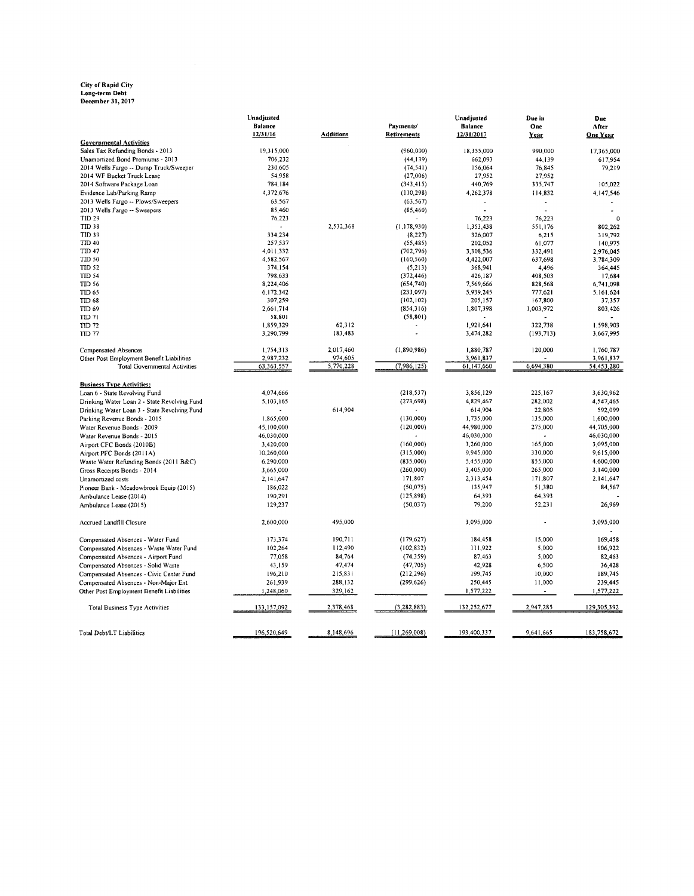### City of Rapid City<br>Long-term Debt<br>December 31, 2017

|                                              | Unadjusted     |                  |                | Unadjusted     | Due in     | Due         |
|----------------------------------------------|----------------|------------------|----------------|----------------|------------|-------------|
|                                              | <b>Balance</b> |                  | Payments/      | <b>Balance</b> | One        | After       |
|                                              | 12/31/16       | <b>Additions</b> | Retirements    | 12/31/2017     | Year       | One Year    |
| <b>Governmental Activities</b>               |                |                  |                |                |            |             |
| Sales Tax Refunding Bonds - 2013             | 19.315,000     |                  | (960,000)      | 18,355,000     | 990.000    | 17,365,000  |
| Unamortized Bond Premiums - 2013             | 706,232        |                  | (44, 139)      | 662,093        | 44,139     | 617,954     |
| 2014 Wells Fargo -- Dump Truck/Sweeper       | 230,605        |                  | (74, 541)      | 156,064        | 76,845     | 79,219      |
| 2014 WF Bucket Truck Lease                   | 54,958         |                  | (27,006)       | 27,952         | 27,952     |             |
| 2014 Software Package Loan                   | 784,184        |                  | (343, 415)     | 440,769        | 335,747    | 105.022     |
| Evidence Lab/Parking Ramp                    | 4,372,676      |                  | (110, 298)     | 4,262,378      | 114,832    | 4,147,546   |
| 2013 Wells Fargo -- Plows/Sweepers           | 63,567         |                  | (63, 567)      | $\overline{a}$ |            |             |
| 2013 Wells Fargo -- Sweepers                 | 85,460         |                  | (85, 460)      |                |            |             |
| <b>TID 29</b>                                | 76,223         |                  |                | 76,223         | 76,223     | $\mathbf 0$ |
| TID 38                                       |                | 2,532,368        | (1,178,930)    | 1,353,438      | 551,176    | 802,262     |
| <b>TID 39</b>                                | 334,234        |                  | (8, 227)       | 326,007        | 6,215      | 319,792     |
| <b>TID 40</b>                                | 257,537        |                  | (55, 485)      | 202,052        | 61,077     | 140,975     |
| TID 47                                       | 4,011,332      |                  | (702, 796)     | 3,308,536      | 332,491    | 2,976,045   |
| TID 50                                       | 4,582,567      |                  | (160, 560)     | 4,422,007      | 637,698    | 3,784,309   |
| TID 52                                       | 374,154        |                  | (5,213)        | 368,941        | 4.496      | 364,445     |
| <b>TID 54</b>                                | 798,633        |                  | (372, 446)     | 426,187        | 408,503    | 17,684      |
| <b>TID 56</b>                                | 8,224,406      |                  | (654, 740)     | 7,569,666      | 828,568    | 6,741,098   |
| TID 65                                       | 6.172.342      |                  | (233,097)      | 5.939.245      | 777,621    | 5,161,624   |
| TID 68                                       | 307,259        |                  | (102, 102)     | 205,157        | 167,800    | 37,357      |
| TID 69                                       | 2,661,714      |                  | (854, 316)     | 1,807,398      | 1,003,972  | 803,426     |
| TID <sub>71</sub>                            | 58,801         |                  | (58, 801)      |                |            |             |
| TID 72                                       | 1,859,329      | 62,312           |                | 1.921.641      | 322,738    | 1,598,903   |
| <b>TID 77</b>                                | 3,290,799      | 183,483          |                | 3,474,282      | (193, 713) | 3,667,995   |
|                                              |                |                  |                |                |            |             |
| <b>Compensated Absences</b>                  | 1,754,313      | 2,017,460        | (1,890,986)    | 1.880,787      | 120,000    | 1,760,787   |
| Other Post Employment Benefit Liabilities    | 2,987,232      | 974,605          |                | 3,961,837      |            | 3,961,837   |
| <b>Total Governmental Activities</b>         | 63, 363, 557   | 5,770,228        | (7,986,125)    | 61,147,660     | 6,694,380  | 54,453,280  |
|                                              |                |                  |                |                |            |             |
| <b>Business Type Activities:</b>             |                |                  |                |                |            |             |
| Loan 6 - State Revolving Fund                | 4,074,666      |                  | (218, 537)     | 3,856,129      | 225,167    | 3.630.962   |
| Drinking Water Loan 2 - State Revolving Fund | 5,103,165      |                  | (273, 698)     | 4,829,467      | 282,002    | 4,547,465   |
| Drinking Water Loan 3 - State Revolving Fund |                | 614,904          |                | 614,904        | 22,805     | 592,099     |
| Parking Revenue Bonds - 2015                 | 1,865,000      |                  | (130,000)      | 1,735,000      | 135,000    | 1,600,000   |
| Water Revenue Bonds - 2009                   | 45,100,000     |                  | (120,000)      | 44,980,000     | 275,000    | 44,705,000  |
| Water Revenue Bonds - 2015                   | 46,030,000     |                  |                | 46,030,000     |            | 46,030,000  |
| Airport CFC Bonds (2010B)                    | 3,420,000      |                  | (160,000)      | 3,260,000      | 165,000    | 3,095,000   |
| Airport PFC Bonds (2011A)                    | 10,260,000     |                  | (315,000)      | 9,945,000      | 330,000    | 9,615,000   |
| Waste Water Refunding Bonds (2011 B&C)       | 6,290,000      |                  | (835,000)      | 5,455,000      | 855,000    | 4,600,000   |
| Gross Receipts Bonds - 2014                  | 3,665,000      |                  | (260,000)      | 3,405,000      | 265,000    | 3,140,000   |
| Unamortized costs                            | 2,141,647      |                  | 171,807        | 2,313,454      | 171,807    | 2,141,647   |
| Pioneer Bank - Meadowbrook Equip (2015)      | 186,022        |                  | (50, 075)      | 135,947        | 51,380     | 84,567      |
| Ambulance Lease (2014)                       | 190,291        |                  | (125, 898)     | 64,393         | 64,393     |             |
| Ambulance Lease (2015)                       | 129,237        |                  | (50, 037)      | 79,200         | 52,231     | 26,969      |
|                                              |                |                  |                |                |            |             |
| Accrued Landfill Closure                     | 2,600,000      | 495,000          |                | 3,095,000      |            | 3,095,000   |
| Compensated Absences - Water Fund            | 173,374        | 190,711          | (179, 627)     | 184,458        | 15,000     | 169.458     |
| Compensated Absences - Waste Water Fund      | 102,264        | 112,490          | (102, 832)     | 111,922        | 5,000      | 106,922     |
|                                              | 77,058         | 84,764           | (74, 359)      | 87,463         | 5,000      | 82,463      |
| Compensated Absences - Airport Fund          |                |                  |                |                |            |             |
| Compensated Absences - Solid Waste           | 43,159         | 47,474           | (47,705)       | 42,928         | 6,500      | 36,428      |
| Compensated Absences - Civic Center Fund     | 196,210        | 215,831          | (212, 296)     | 199,745        | 10,000     | 189,745     |
| Compensated Absences - Non-Major Ent.        | 261,939        | 288,132          | (299, 626)     | 250,445        | 11,000     | 239,445     |
| Other Post Employment Benefit Liabilities    | 1,248,060      | 329,162          |                | 1,577,222      | $\sim$     | 1,577,222   |
| <b>Total Business Type Activities</b>        | 133,157,092    | 2,378,468        | (3, 282, 883)  | 132,252,677    | 2,947,285  | 129,305,392 |
|                                              |                |                  |                |                |            |             |
| Total Debt/LT Liabilities                    | 196,520,649    | 8,148,696        | (11, 269, 008) | 193,400,337    | 9,641,665  | 183,758,672 |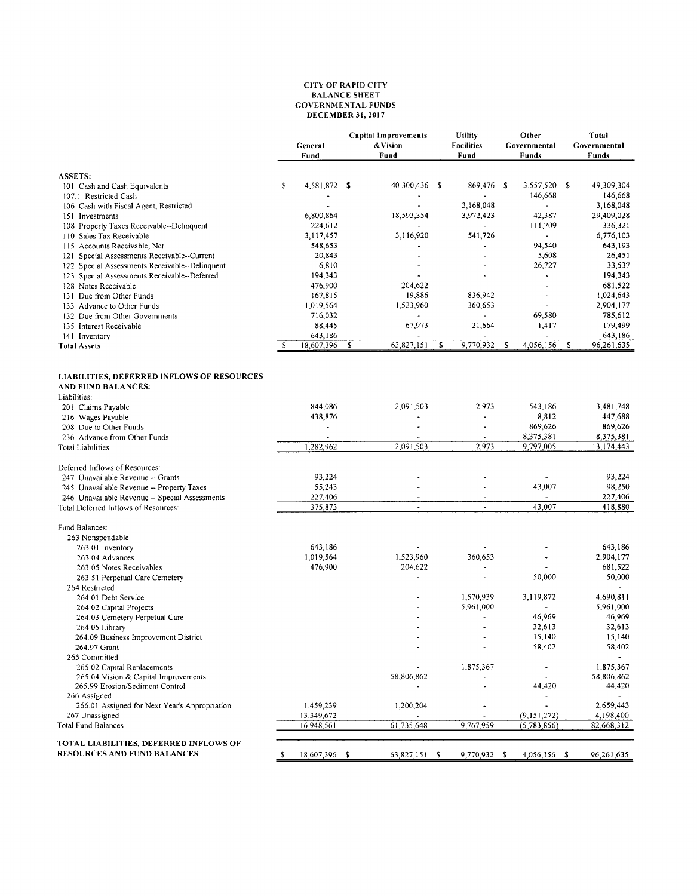#### **CITY OF RAPID CITY<br>BALANCE SHEET GOVERNMENTAL FUNDS DECEMBER 31, 2017**

|                                                                          | General<br>Fund                       |    | <b>Capital Improvements</b><br>& Vision<br>Fund |      | <b>Utility</b><br><b>Facilities</b><br>Fund |   | Other<br>Governmental<br>Funds |   | Total<br>Governmental<br>Funds |
|--------------------------------------------------------------------------|---------------------------------------|----|-------------------------------------------------|------|---------------------------------------------|---|--------------------------------|---|--------------------------------|
| <b>ASSETS:</b>                                                           |                                       |    |                                                 |      |                                             |   |                                |   |                                |
| 101 Cash and Cash Equivalents                                            | s<br>4,581,872 \$                     |    | 40,300,436                                      | - \$ | 869,476 \$                                  |   | 3,557,520 \$                   |   | 49,309,304                     |
| 107.1 Restricted Cash                                                    |                                       |    |                                                 |      |                                             |   | 146,668                        |   | 146,668                        |
| 106 Cash with Fiscal Agent, Restricted                                   | ä,                                    |    |                                                 |      | 3,168,048                                   |   |                                |   | 3,168,048                      |
| 151 Investments                                                          | 6,800,864                             |    | 18,593,354                                      |      | 3,972,423                                   |   | 42,387                         |   | 29,409,028                     |
| Property Taxes Receivable--Delinquent<br>108<br>110 Sales Tax Receivable | 224,612<br>3,117,457                  |    | 3,116,920                                       |      | 541,726                                     |   | 111,709<br>$\bullet$           |   | 336,321<br>6,776,103           |
| 115 Accounts Receivable, Net                                             | 548,653                               |    |                                                 |      |                                             |   | 94,540                         |   | 643,193                        |
| 121 Special Assessments Receivable--Current                              | 20,843                                |    |                                                 |      |                                             |   | 5,608                          |   | 26,451                         |
| 122 Special Assessments Receivable--Delinquent                           | 6,810                                 |    |                                                 |      |                                             |   | 26,727                         |   | 33,537                         |
| 123 Special Assessments Receivable--Deferred                             | 194,343                               |    |                                                 |      |                                             |   |                                |   | 194,343                        |
| 128 Notes Receivable                                                     | 476,900                               |    | 204,622                                         |      |                                             |   | ٠                              |   | 681,522                        |
| 131 Due from Other Funds                                                 | 167,815                               |    | 19,886                                          |      | 836,942                                     |   | $\blacksquare$                 |   | 1,024,643                      |
| 133 Advance to Other Funds                                               | 1,019,564                             |    | 1,523,960                                       |      | 360,653                                     |   | $\overline{\phantom{a}}$       |   | 2,904,177                      |
| 132 Due from Other Governments                                           | 716,032                               |    |                                                 |      |                                             |   | 69,580                         |   | 785,612                        |
| 135 Interest Receivable                                                  | 88,445                                |    | 67,973                                          |      | 21,664                                      |   | 1,417                          |   | 179,499                        |
| 141 Inventory<br><b>Total Assets</b>                                     | 643,186<br>18,607,396<br>s            | s  | 63,827,151                                      | \$   | 9,770,932                                   | S | 4,056,156                      | s | 643,186<br>96,261,635          |
|                                                                          |                                       |    |                                                 |      |                                             |   |                                |   |                                |
| LIABILITIES, DEFERRED INFLOWS OF RESOURCES<br><b>AND FUND BALANCES:</b>  |                                       |    |                                                 |      |                                             |   |                                |   |                                |
| Liabilities:                                                             |                                       |    |                                                 |      |                                             |   |                                |   |                                |
| 201 Claims Payable                                                       | 844,086                               |    | 2,091,503                                       |      | 2,973                                       |   | 543,186                        |   | 3,481,748                      |
| 216 Wages Payable                                                        | 438,876                               |    |                                                 |      |                                             |   | 8,812                          |   | 447,688                        |
| 208 Due to Other Funds                                                   |                                       |    |                                                 |      | $\overline{a}$                              |   | 869,626                        |   | 869,626                        |
| 236 Advance from Other Funds<br><b>Total Liabilities</b>                 | $\overline{\phantom{a}}$<br>1,282,962 |    | 2.091.503                                       |      | $\tilde{\phantom{a}}$<br>2,973              |   | 8,375,381<br>9,797,005         |   | 8,375,381<br>13, 174, 443      |
|                                                                          |                                       |    |                                                 |      |                                             |   |                                |   |                                |
| Deferred Inflows of Resources:                                           |                                       |    |                                                 |      |                                             |   |                                |   |                                |
| 247 Unavailable Revenue -- Grants                                        | 93,224                                |    |                                                 |      | $\overline{a}$                              |   |                                |   | 93,224                         |
| 245 Unavailable Revenue -- Property Taxes                                | 55,243                                |    |                                                 |      |                                             |   | 43,007                         |   | 98,250                         |
| 246 Unavailable Revenue -- Special Assessments                           | 227,406                               |    |                                                 |      | $\overline{\phantom{a}}$                    |   |                                |   | 227,406                        |
| Total Deferred Inflows of Resources:                                     | 375,873                               |    | $\ddot{\phantom{a}}$                            |      |                                             |   | 43,007                         |   | 418,880                        |
| Fund Balances:                                                           |                                       |    |                                                 |      |                                             |   |                                |   |                                |
| 263 Nonspendable                                                         | 643,186                               |    |                                                 |      |                                             |   |                                |   | 643,186                        |
| 263.01 Inventory<br>263.04 Advances                                      | 1,019,564                             |    | 1,523,960                                       |      | 360,653                                     |   |                                |   | 2,904,177                      |
| 263.05 Notes Receivables                                                 | 476,900                               |    | 204,622                                         |      |                                             |   |                                |   | 681,522                        |
| 263.51 Perpetual Care Cemetery                                           |                                       |    |                                                 |      | $\ddot{\phantom{0}}$                        |   | 50,000                         |   | 50,000                         |
| 264 Restricted                                                           |                                       |    |                                                 |      |                                             |   |                                |   |                                |
| 264.01 Debt Service                                                      |                                       |    |                                                 |      | 1,570,939                                   |   | 3,119,872                      |   | 4,690,811                      |
| 264.02 Capital Projects                                                  |                                       |    |                                                 |      | 5,961,000                                   |   |                                |   | 5,961,000                      |
| 264.03 Cemetery Perpetual Care                                           |                                       |    |                                                 |      |                                             |   | 46,969                         |   | 46,969                         |
| 264.05 Library                                                           |                                       |    |                                                 |      | $\blacksquare$                              |   | 32,613                         |   | 32,613                         |
| 264.09 Business Improvement District                                     |                                       |    |                                                 |      | ä,                                          |   | 15,140                         |   | 15,140                         |
| 264.97 Grant                                                             |                                       |    |                                                 |      |                                             |   | 58,402                         |   | 58,402                         |
| 265 Committed<br>265.02 Capital Replacements                             |                                       |    |                                                 |      | 1,875,367                                   |   |                                |   | 1,875,367                      |
| 265.04 Vision & Capital Improvements                                     |                                       |    | 58,806,862                                      |      |                                             |   |                                |   | 58,806,862                     |
| 265.99 Erosion/Sediment Control                                          |                                       |    |                                                 |      |                                             |   | 44,420                         |   | 44,420                         |
| 266 Assigned                                                             |                                       |    |                                                 |      |                                             |   |                                |   |                                |
| 266.01 Assigned for Next Year's Appropriation                            | 1,459,239                             |    | 1,200,204                                       |      |                                             |   | $\overline{a}$                 |   | 2,659,443                      |
| 267 Unassigned                                                           | 13,349,672                            |    |                                                 |      |                                             |   | (9, 151, 272)                  |   | 4,198,400                      |
| <b>Total Fund Balances</b>                                               | 16,948,561                            |    | 61,735,648                                      |      | 9,767,959                                   |   | (5, 783, 856)                  |   | 82,668,312                     |
| TOTAL LIABILITIES, DEFERRED INFLOWS OF                                   |                                       |    |                                                 |      |                                             |   |                                |   |                                |
| <b>RESOURCES AND FUND BALANCES</b>                                       | 18,607,396<br>S                       | -S | 63,827,151                                      | s    | 9,770,932 \$                                |   | 4,056,156 \$                   |   | 96,261,635                     |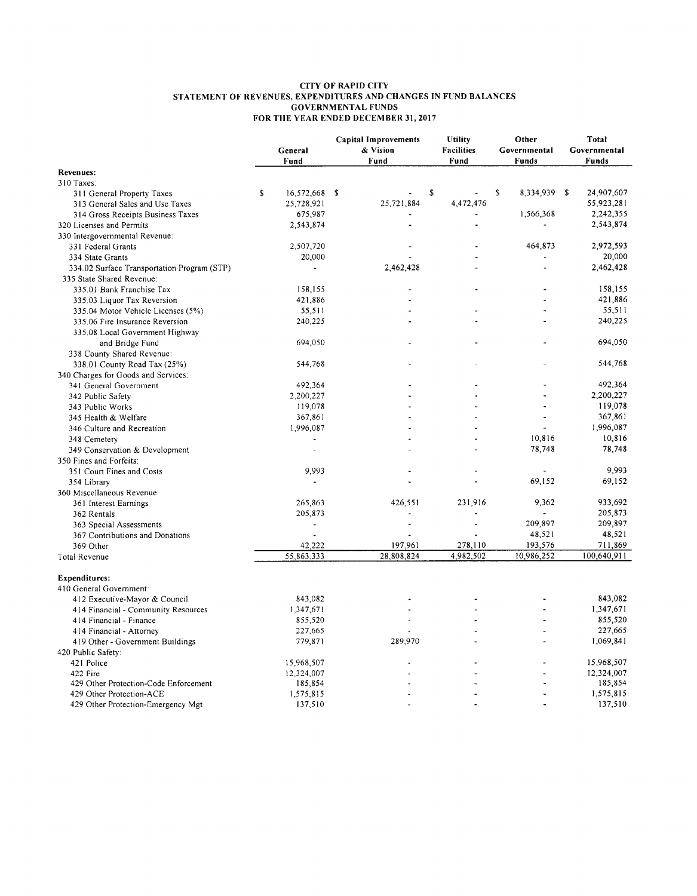# CITY OF RAPID CITY<br>STATEMENT OF REVENUES, EXPENDITURES AND CHANGES IN FUND BALANCES<br>GOVERNMENTAL FUNDS<br>FOR THE YEAR ENDED DECEMBER 31, 2017

|                                             |   |                      | <b>Capital Improvements</b> | <b>Utility</b>    | Other             | Total        |
|---------------------------------------------|---|----------------------|-----------------------------|-------------------|-------------------|--------------|
|                                             |   | General              | & Vision                    | <b>Facilities</b> | Governmental      | Governmental |
|                                             |   | Fund                 | Fund                        | Fund              | Funds             | <b>Funds</b> |
| <b>Revenues:</b>                            |   |                      |                             |                   |                   |              |
| 310 Taxes:                                  |   |                      |                             |                   |                   |              |
| 311 General Property Taxes                  | S | 16,572,668 \$        |                             | \$                | s<br>8,334,939 \$ | 24,907,607   |
| 313 General Sales and Use Taxes             |   | 25,728,921           | 25,721,884                  | 4,472,476         |                   | 55,923,281   |
| 314 Gross Receipts Business Taxes           |   | 675,987              |                             |                   | 1,566,368         | 2,242,355    |
| 320 Licenses and Permits                    |   | 2,543,874            |                             |                   |                   | 2,543,874    |
| 330 Intergovernmental Revenue:              |   |                      |                             |                   |                   |              |
| 331 Federal Grants                          |   | 2,507,720            |                             |                   | 464,873           | 2,972,593    |
| 334 State Grants                            |   | 20,000               |                             |                   |                   | 20,000       |
| 334.02 Surface Transportation Program (STP) |   |                      | 2,462,428                   |                   | L.                | 2,462,428    |
| 335 State Shared Revenue:                   |   |                      |                             |                   |                   |              |
| 335.01 Bank Franchise Tax                   |   | 158,155              |                             |                   |                   | 158,155      |
| 335.03 Liquor Tax Reversion                 |   | 421,886              |                             |                   |                   | 421,886      |
| 335.04 Motor Vehicle Licenses (5%)          |   | 55,511               |                             |                   |                   | 55,511       |
| 335.06 Fire Insurance Reversion             |   | 240,225              |                             |                   |                   | 240,225      |
| 335.08 Local Government Highway             |   |                      |                             |                   |                   |              |
| and Bridge Fund                             |   | 694,050              |                             |                   |                   | 694.050      |
| 338 County Shared Revenue:                  |   |                      |                             |                   |                   |              |
| 338.01 County Road Tax (25%)                |   | 544,768              |                             |                   |                   | 544,768      |
| 340 Charges for Goods and Services:         |   |                      |                             |                   |                   |              |
| 341 General Government                      |   | 492,364              |                             |                   |                   | 492,364      |
| 342 Public Safety                           |   | 2,200,227            |                             |                   |                   | 2,200,227    |
| 343 Public Works                            |   | 119,078              |                             |                   |                   | 119,078      |
| 345 Health & Welfare                        |   | 367,861              |                             |                   | $\overline{a}$    | 367,861      |
| 346 Culture and Recreation                  |   | 1,996,087            |                             |                   |                   | 1,996,087    |
| 348 Cemetery                                |   |                      |                             |                   | 10,816            | 10,816       |
| 349 Conservation & Development              |   | $\ddot{\phantom{0}}$ |                             |                   | 78,748            | 78,748       |
| 350 Fines and Forfeits:                     |   |                      |                             |                   |                   |              |
| 351 Court Fines and Costs                   |   | 9,993                |                             |                   |                   | 9,993        |
| 354 Library                                 |   |                      |                             |                   | 69,152            | 69,152       |
| 360 Miscellaneous Revenue:                  |   |                      |                             |                   |                   |              |
| 361 Interest Earnings                       |   | 265,863              | 426,551                     | 231,916           | 9,362             | 933,692      |
| 362 Rentals                                 |   | 205,873              |                             |                   |                   | 205,873      |
| 363 Special Assessments                     |   | ÷                    |                             |                   | 209,897           | 209,897      |
| 367 Contributions and Donations             |   |                      |                             |                   | 48,521            | 48,521       |
| 369 Other                                   |   | 42,222               | 197,961                     | 278,110           | 193,576           | 711,869      |
| Total Revenue                               |   | 55,863,333           | 28,808,824                  | 4,982,502         | 10,986,252        | 100,640,911  |
|                                             |   |                      |                             |                   |                   |              |
| Expenditures:                               |   |                      |                             |                   |                   |              |
| 410 General Government:                     |   |                      |                             |                   |                   |              |
| 412 Executive-Mayor & Council               |   | 843,082              |                             |                   |                   | 843,082      |
| 414 Financial - Community Resources         |   | 1,347,671            |                             |                   |                   | 1,347,671    |
| 414 Financial - Finance                     |   | 855,520              |                             |                   |                   | 855,520      |
| 414 Financial - Attorney                    |   | 227,665              |                             |                   |                   | 227,665      |
| 419 Other - Government Buildings            |   | 779,871              | 289,970                     |                   |                   | 1,069,841    |
| 420 Public Safety:                          |   |                      |                             |                   |                   |              |
| 421 Police                                  |   | 15,968,507           |                             |                   |                   | 15,968,507   |
| 422 Fire                                    |   | 12,324,007           |                             |                   |                   | 12,324,007   |
| 429 Other Protection-Code Enforcement       |   | 185,854              |                             |                   |                   | 185,854      |
| 429 Other Protection-ACE                    |   | 1,575,815            |                             |                   |                   | 1,575,815    |
| 429 Other Protection-Emergency Mgt          |   | 137,510              |                             | ä,                | ä,                | 137,510      |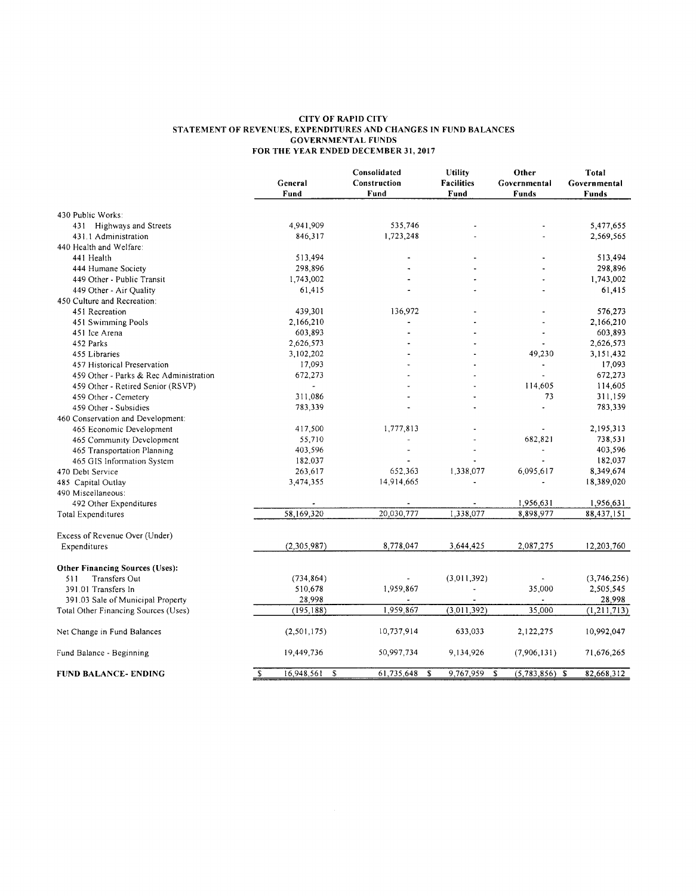#### **CITY OF RAPID CITY** STATEMENT OF REVENUES, EXPENDITURES AND CHANGES IN FUND BALANCES<br>GOVERNMENTAL FUNDS FOR THE YEAR ENDED DECEMBER 31, 2017

|                                        |                                             | Consolidated     | Utility           | Other            | Total         |
|----------------------------------------|---------------------------------------------|------------------|-------------------|------------------|---------------|
|                                        | General                                     | Construction     | <b>Facilities</b> | Governmental     | Governmental  |
|                                        | Fund                                        | Fund             | Fund              | <b>Funds</b>     | <b>Funds</b>  |
| 430 Public Works:                      |                                             |                  |                   |                  |               |
| 431 Highways and Streets               | 4,941,909                                   | 535,746          |                   |                  | 5,477,655     |
| 431.1 Administration                   | 846,317                                     | 1,723,248        |                   |                  | 2,569,565     |
| 440 Health and Welfare:                |                                             |                  |                   |                  |               |
| 441 Health                             | 513,494                                     |                  |                   |                  | 513,494       |
| 444 Humane Society                     | 298,896                                     |                  |                   |                  | 298,896       |
| 449 Other - Public Transit             | 1,743,002                                   |                  |                   |                  | 1,743,002     |
| 449 Other - Air Quality                | 61,415                                      |                  |                   |                  | 61,415        |
| 450 Culture and Recreation:            |                                             |                  |                   |                  |               |
| 451 Recreation                         | 439,301                                     | 136,972          |                   |                  | 576,273       |
|                                        |                                             |                  |                   |                  |               |
| 451 Swimming Pools                     | 2,166,210                                   |                  |                   |                  | 2,166,210     |
| 451 Ice Arena                          | 603,893                                     |                  |                   |                  | 603,893       |
| 452 Parks                              | 2,626,573                                   |                  |                   |                  | 2,626,573     |
| 455 Libraries                          | 3,102,202                                   |                  |                   | 49,230           | 3,151,432     |
| 457 Historical Preservation            | 17,093                                      |                  |                   | $\blacksquare$   | 17,093        |
| 459 Other - Parks & Rec Administration | 672,273                                     |                  |                   |                  | 672,273       |
| 459 Other - Retired Senior (RSVP)      |                                             |                  |                   | 114,605          | 114,605       |
| 459 Other - Cemetery                   | 311,086                                     |                  |                   | 73               | 311,159       |
| 459 Other - Subsidies                  | 783,339                                     |                  |                   |                  | 783,339       |
| 460 Conservation and Development:      |                                             |                  |                   |                  |               |
| 465 Economic Development               | 417,500                                     | 1,777,813        |                   |                  | 2,195,313     |
| 465 Community Development              | 55,710                                      |                  |                   | 682,821          | 738,531       |
| 465 Transportation Planning            | 403,596                                     |                  |                   |                  | 403,596       |
| 465 GIS Information System             | 182,037                                     |                  |                   |                  | 182,037       |
| 470 Debt Service                       | 263,617                                     | 652,363          | 1,338,077         | 6,095,617        | 8,349,674     |
| 485 Capital Outlay                     | 3,474,355                                   | 14,914,665       |                   |                  | 18,389,020    |
| 490 Miscellaneous:                     |                                             |                  |                   |                  |               |
| 492 Other Expenditures                 |                                             |                  |                   | 1,956,631        | 1,956,631     |
| <b>Total Expenditures</b>              | 58,169,320                                  | 20,030,777       | 1,338,077         | 8,898,977        | 88,437,151    |
| Excess of Revenue Over (Under)         |                                             |                  |                   |                  |               |
| Expenditures                           | (2,305,987)                                 | 8,778,047        | 3,644,425         | 2,087,275        | 12,203,760    |
| <b>Other Financing Sources (Uses):</b> |                                             |                  |                   |                  |               |
| <b>Transfers Out</b><br>511            | (734, 864)                                  |                  | (3,011,392)       |                  | (3,746,256)   |
| 391.01 Transfers In                    | 510,678                                     | 1,959,867        |                   | 35,000           | 2,505,545     |
| 391.03 Sale of Municipal Property      | 28,998                                      |                  |                   |                  | 28,998        |
| Total Other Financing Sources (Uses)   | (195, 188)                                  | 1,959,867        | (3,011,392)       | 35,000           | (1, 211, 713) |
|                                        |                                             |                  |                   |                  |               |
| Net Change in Fund Balances            | (2,501,175)                                 | 10,737,914       | 633,033           | 2,122,275        | 10,992,047    |
| Fund Balance - Beginning               | 19,449,736                                  | 50,997,734       | 9,134,926         | (7,906,131)      | 71,676,265    |
| <b>FUND BALANCE- ENDING</b>            | $\overline{\mathcal{E}}$<br>16,948,561<br>S | 61,735,648<br>\$ | 9,767,959<br>S    | $(5,783,856)$ \$ | 82,668,312    |
|                                        |                                             |                  |                   |                  |               |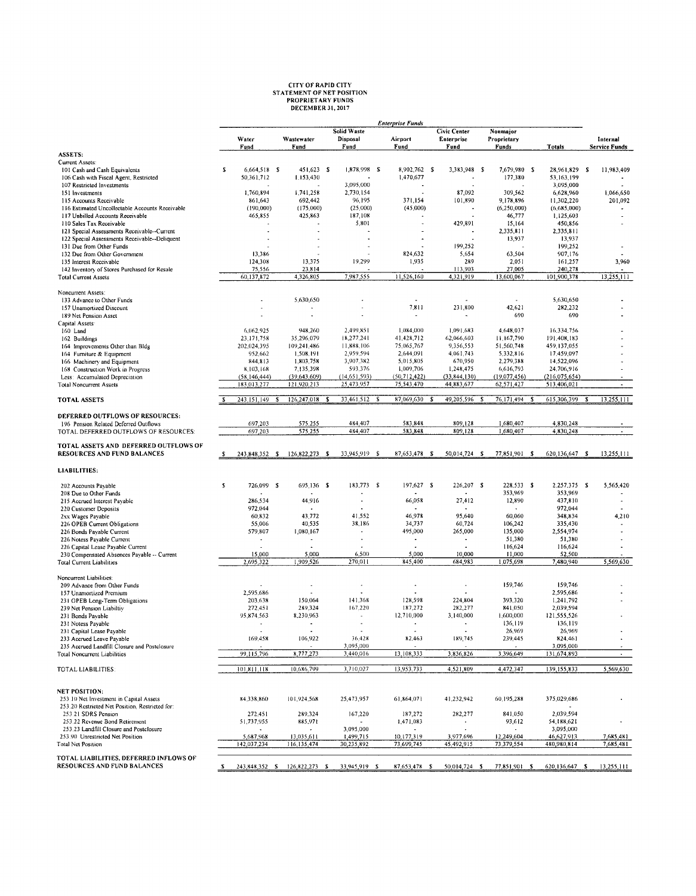## **CITY OF RAPID CITY<br>STATEMENT OF NET POSITION<br>PROPRIETARY FUNDS<br>DECEMBER 31, 2017**

|                                                                             |   | <b>Enterprise Funds</b>    |                             |      |                                                |  |                          |                                    |                                  |  |                               |                                                                     |
|-----------------------------------------------------------------------------|---|----------------------------|-----------------------------|------|------------------------------------------------|--|--------------------------|------------------------------------|----------------------------------|--|-------------------------------|---------------------------------------------------------------------|
|                                                                             |   | Water<br>Fund              | Wastewater<br>Fund          |      | <b>Solid Waste</b><br>Disposal<br>Fund         |  | Airport<br>Fund          | Civic Center<br>Enterprise<br>Fund | Nonmajor<br>Proprietary<br>Funds |  | <b>Totals</b>                 | Internal<br><b>Service Funds</b>                                    |
| ASSETS:                                                                     |   |                            |                             |      |                                                |  |                          |                                    |                                  |  |                               |                                                                     |
| Current Assets:                                                             | s |                            |                             |      | 1,878,998 \$                                   |  | 8,902,762 \$             |                                    |                                  |  |                               |                                                                     |
| 101 Cash and Cash Equivalents<br>106 Cash with Fiscal Agent, Restricted     |   | 6,664,518 \$<br>50,361,712 | 451,623 \$<br>1,153,430     |      |                                                |  | 1,470,677                | 3,383,948 \$                       | 7,679,980 \$<br>177,380          |  | 28,961,829 \$<br>53,163,199   | 11,983,409                                                          |
| 107 Restricted Investments                                                  |   |                            |                             |      | 3,095,000                                      |  |                          |                                    |                                  |  | 3,095,000                     |                                                                     |
| 151 Investments                                                             |   | 1,760,894                  | 1,741,258                   |      | 2,730,154                                      |  |                          | 87,092                             | 309,562                          |  | 6,628,960                     | 1,066,650                                                           |
| 115 Accounts Receivable                                                     |   | 861,643                    | 692,442                     |      | 96,195                                         |  | 371,154                  | 101,890                            | 9,178,896                        |  | 11,302,220                    | 201,092                                                             |
| 116 Estimated Uncollectable Accounts Receivable                             |   | (190,000)                  | (175,000)                   |      | (25,000)                                       |  | (45,000)                 |                                    | (6, 250, 000)                    |  | (6,685,000)                   |                                                                     |
| 117 Unbilled Accounts Receivable                                            |   | 465,855                    | 425,863                     |      | 187,108                                        |  |                          |                                    | 46,777                           |  | 1,125,603                     |                                                                     |
| 110 Sales Tax Receivable                                                    |   |                            |                             |      | 5,801                                          |  |                          | 429,891                            | 15,164                           |  | 450,856                       |                                                                     |
| 121 Special Assessments Receivable--Current                                 |   |                            |                             |      |                                                |  |                          |                                    | 2,335,811<br>13,937              |  | 2,335,811<br>13,937           |                                                                     |
| 122 Special Assessments Receivable--Deliquent<br>131 Due from Other Funds   |   |                            |                             |      |                                                |  |                          | 199,252                            |                                  |  | 199,252                       |                                                                     |
| 132 Due from Other Government                                               |   | 13,386                     |                             |      |                                                |  | 824,632                  | 5,654                              | 63,504                           |  | 907,176                       |                                                                     |
| 135 Interest Receivable                                                     |   | 124,308                    | 13,375                      |      | 19,299                                         |  | 1,935                    | 289                                | 2,051                            |  | 161,257                       | 3,960                                                               |
| 142 Inventory of Stores Purchased for Resale                                |   | 75,556                     | 23,814                      |      |                                                |  |                          | 113,903                            | 27,005                           |  | 240,278                       |                                                                     |
| <b>Total Current Assets</b>                                                 |   | 60,137,872                 | 4,326,805                   |      | 7,987,555                                      |  | 11,526,160               | 4,321,919                          | 13,600,067                       |  | 101,900,378                   | 13,255,111                                                          |
| Noncurrent Assets:                                                          |   |                            | 5.630,650                   |      |                                                |  |                          |                                    |                                  |  | 5,630,650                     |                                                                     |
| 133 Advance to Other Funds<br>157 Unamortized Discount                      |   |                            |                             |      |                                                |  | 7,811                    | 231,800                            | 42,621                           |  | 282,232                       |                                                                     |
| 189 Net Pension Asset                                                       |   |                            | $\mathbf{r}$                |      |                                                |  | $\overline{\phantom{a}}$ |                                    | 690                              |  | 690                           |                                                                     |
| Capital Assets                                                              |   |                            |                             |      |                                                |  |                          |                                    |                                  |  |                               |                                                                     |
| 160 Land                                                                    |   | 6,062.925                  | 948,260                     |      | 2,499,851                                      |  | 1,084,000                | 1,091,683                          | 4,648,037                        |  | 16,334,756                    |                                                                     |
| 162 Buildings                                                               |   | 23,171,758                 | 35.296.079                  |      | 18,277.241                                     |  | 41.428,712               | 62,066,603                         | 11.167,790                       |  | 191,408,183                   |                                                                     |
| 164 Improvements Other than Bldg                                            |   | 202,024,395                | 109,241,486                 |      | 11,888,106                                     |  | 75.065,767               | 9,356,553                          | 51,560,748                       |  | 459,137,055                   |                                                                     |
| 164 Furniture & Equipment                                                   |   | 952,662                    | 1,508,191                   |      | 2,959,594                                      |  | 2,644,091                | 4,061,743                          | 5,332,816                        |  | 17,459,097                    |                                                                     |
| 166 Machinery and Equipment                                                 |   | 844,813<br>8,103,168       | 1,803,758                   |      | 3,907.382<br>593,376                           |  | 5,015,805<br>1,009,706   | 670,950<br>1,248,475               | 2,279,388<br>6,616,793           |  | 14,522,096                    |                                                                     |
| 168 Construction Work in Progress<br>Less: Accumulated Depreciation         |   | (58, 146, 444)             | 7,135,398<br>(39, 643, 609) |      | (14, 651, 593)                                 |  | (50, 712, 422)           | (33, 844, 130)                     | (19,077,456)                     |  | 24,706,916<br>(216, 075, 654) |                                                                     |
| <b>Total Noncurrent Assets</b>                                              |   | 183,013,277                | 121,920,213                 |      | 25,473,957                                     |  | 75,543,470               | 44,883,677                         | 62,571,427                       |  | 513,406,021                   | $\blacksquare$                                                      |
| <b>TOTAL ASSETS</b>                                                         |   | 243,151,149 \$             | 126,247,018                 | - \$ | 33,461.512 \$                                  |  | 87,069,630 \$            | 49,205,596 \$                      | 76,171,494 \$                    |  | 615,306,399                   | 13.255.111<br>-\$                                                   |
| DEFERRED OUTFLOWS OF RESOURCES:                                             |   |                            |                             |      |                                                |  |                          |                                    |                                  |  |                               |                                                                     |
| 196 Pension Related Deferred Outflows                                       |   | 697,203<br>697,203         | 575,255<br>575,255          |      | 484,407<br>484,407                             |  | 583,848<br>583,848       | 809,128<br>809,128                 | 1,680,407<br>1,680,407           |  | 4,830,248<br>4,830,248        |                                                                     |
| TOTAL DEFERRED OUTFLOWS OF RESOURCES:                                       |   |                            |                             |      |                                                |  |                          |                                    |                                  |  |                               |                                                                     |
| TOTAL ASSETS AND DEFERRED OUTFLOWS OF<br><b>RESOURCES AND FUND BALANCES</b> | s | 243,848,352 \$             | 126,822,273 \$              |      | 33,945,919 \$                                  |  | 87,653,478 \$            | 50,014,724 \$                      | 77,851,901 \$                    |  | 620,136,647 \$                | 13,255,111                                                          |
| LIABILITIES:                                                                |   |                            |                             |      |                                                |  |                          |                                    |                                  |  |                               |                                                                     |
| 202 Accounts Payable                                                        | s | 726,099                    | - \$<br>695,136 \$          |      | 183,773 \$                                     |  | 197,627 \$               | 226,207 \$                         | 228,533 \$                       |  | 2,257,375 \$                  | 5,565,420                                                           |
| 208 Due to Other Funds                                                      |   | 286,534                    | 44,916                      |      | ٠                                              |  | 66,058                   | 27,412                             | 353,969<br>12,890                |  | 353,969<br>437,810            | $\bullet$                                                           |
| 215 Accrued Interest Payable<br>220 Customer Deposits                       |   | 972,044                    |                             |      |                                                |  |                          |                                    |                                  |  | 972,044                       |                                                                     |
| 2xx Wages Payable                                                           |   | 60,832                     | 43,772                      |      | 41,552                                         |  | 46,978                   | 95,640                             | 60,060                           |  | 348,834                       | 4,210                                                               |
| 226 OPEB Current Obligations                                                |   | 55,006                     | 40,535                      |      | 38.186                                         |  | 34,737                   | 60,724                             | 106,242                          |  | 335,430                       |                                                                     |
| 226 Bonds Payable Current                                                   |   | 579,807                    | 1,080,167                   |      | $\bullet$                                      |  | 495,000                  | 265,000                            | 135,000                          |  | 2,554,974                     |                                                                     |
| 226 Notess Pavable Current                                                  |   | $\overline{\phantom{a}}$   | $\overline{\phantom{a}}$    |      |                                                |  | $\bullet$                | $\blacksquare$                     | 51,380                           |  | 51,380                        |                                                                     |
| 226 Capital Lease Payable Current                                           |   |                            |                             |      |                                                |  |                          |                                    | 116,624                          |  | 116,624                       |                                                                     |
| 230 Compensated Absences Payable -- Current                                 |   | 15,000                     | 5,000<br>1,909,526          |      | 6,500<br>270.011                               |  | 5,000<br>845,400         | 10,000<br>684,983                  | 11,000<br>1,075,698              |  | 52,500<br>7,480,940           | 5,569,630                                                           |
| <b>Total Current Liabilities</b>                                            |   | 2,695,322                  |                             |      |                                                |  |                          |                                    |                                  |  |                               |                                                                     |
| Noncurrent Liabilities:<br>209 Advance from Other Funds                     |   |                            |                             |      |                                                |  |                          |                                    | 159,746                          |  | 159,746                       |                                                                     |
| 157 Unamortized Premium                                                     |   | 2,595.686                  |                             |      |                                                |  |                          |                                    |                                  |  | 2,595,686                     |                                                                     |
| 231 OPEB Long-Term Obligations                                              |   | 203.638                    | 150,064                     |      | 141,368                                        |  | 128,598                  | 224,804                            | 393,320                          |  | 1,241,792                     |                                                                     |
| 239 Net Pension Liabiltiv                                                   |   | 272,451                    | 289,324                     |      | 167,220                                        |  | 187,272                  | 282,277                            | 841.050                          |  | 2,039,594                     |                                                                     |
| 231 Bonds Pavable                                                           |   | 95,874,563                 | 8,230,963                   |      | $\blacksquare$                                 |  | 12,710,000               | 3,140,000                          | 1,600,000                        |  | 121,555,526                   |                                                                     |
| 231 Notess Payable                                                          |   | ٠                          | $\ddot{\phantom{a}}$        |      | $\overline{\phantom{a}}$                       |  | ٠                        | $\blacksquare$                     | 136,119                          |  | 136,119                       |                                                                     |
| 231 Capital Lease Payable<br>233 Accrued Leave Pavable                      |   | 169,458                    | 106,922                     |      | 36,428                                         |  | 82,463                   | 189,745                            | 26,969<br>239,445                |  | 26,969<br>824,461             |                                                                     |
| 235 Accrued Landfill Closure and Postclosure                                |   |                            |                             |      | 3,095,000                                      |  |                          |                                    |                                  |  | 3,095,000                     |                                                                     |
| <b>Total Noncurrent Liabilities</b>                                         |   | 99,115,796                 | 8,777,273                   |      | 3,440,016                                      |  | 13,108,333               | 3,836,826                          | 3,396,649                        |  | 131,674,893                   | $\sim$                                                              |
| TOTAL LIABILITIES:                                                          |   | 101,811,118                | 10,686,799                  |      | 3,710.027                                      |  | 13,953.733               | 4,521,809                          | 4,472.347                        |  | 139,155,833                   | 5,569,630                                                           |
|                                                                             |   |                            |                             |      |                                                |  |                          |                                    |                                  |  |                               |                                                                     |
| <b>NET POSITION:</b><br>253.10 Net Investment in Capital Assets             |   | 84,338,860                 | 101.924,568                 |      | 25,473,957                                     |  | 61,864,071               | 41.232,942                         | 60,195,288                       |  | 375,029,686                   |                                                                     |
| 253.20 Restricted Net Position, Restricted for:                             |   |                            |                             |      |                                                |  |                          |                                    |                                  |  |                               |                                                                     |
| 253.21 SDRS Pension                                                         |   | 272,451                    | 289.324                     |      | 167,220                                        |  | 187,272                  | 282,277                            | 841.050                          |  | 2,039,594                     |                                                                     |
| 253.22 Revenue Bond Retirement                                              |   | 51,737,955                 | 885,971                     |      |                                                |  | 1,471,083                |                                    | 93,612                           |  | 54,188,621                    |                                                                     |
| 253.23 Landfill Closure and Postclosure                                     |   |                            |                             |      | 3,095,000                                      |  |                          |                                    |                                  |  | 3,095,000                     |                                                                     |
| 253.90 Unrestricted Net Position<br>Total Net Position                      |   | 5,687,968<br>142,037,234   | 13,035,611<br>116,135,474   |      | 1,499,715<br>30,235,892                        |  | 10,177,319<br>73,699,745 | 3,977.696<br>45,492,915            | 12,249,604<br>73,379,554         |  | 46,627,913<br>480,980,814     | 7,685,481<br>7,685,481                                              |
| TOTAL LIABILITIES, DEFERRED INFLOWS OF<br>RESOURCES AND FUND BALANCES       |   |                            |                             |      | \$ 243,848,352 \$ 126,822,273 \$ 33,945,919 \$ |  |                          |                                    |                                  |  |                               | 87,653,478 \$ 50,014,724 \$ 77,851,901 \$ 620,136,647 \$ 13,255,111 |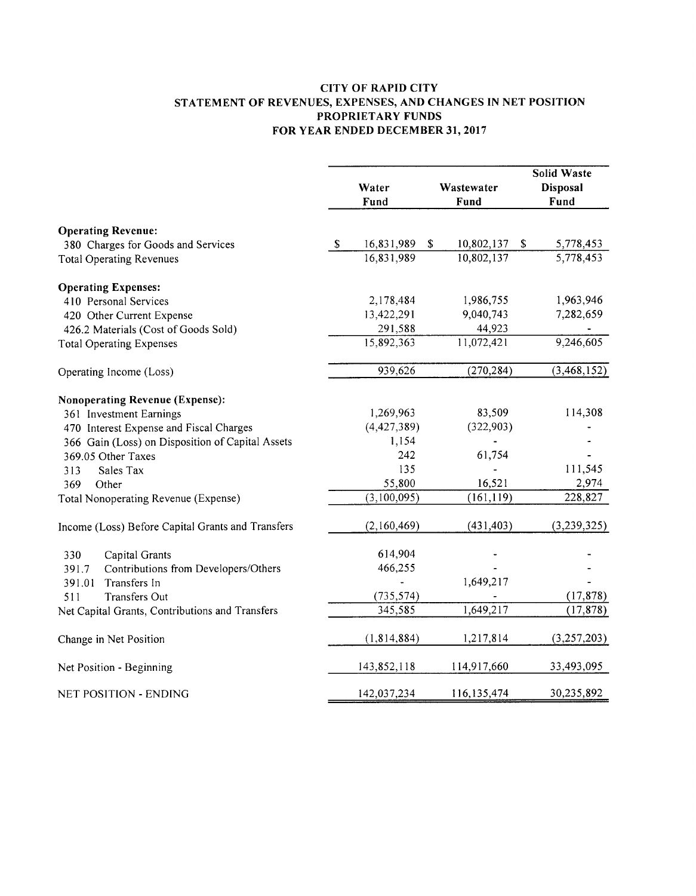#### **CITY OF RAPID CITY** STATEMENT OF REVENUES, EXPENSES, AND CHANGES IN NET POSITION PROPRIETARY FUNDS FOR YEAR ENDED DECEMBER 31, 2017

|                                                                       |             | Water<br>Fund            | Wastewater<br>Fund                   | <b>Solid Waste</b><br><b>Disposal</b><br>Fund |
|-----------------------------------------------------------------------|-------------|--------------------------|--------------------------------------|-----------------------------------------------|
| <b>Operating Revenue:</b>                                             |             |                          |                                      |                                               |
| 380 Charges for Goods and Services<br><b>Total Operating Revenues</b> | $\mathbf S$ | 16,831,989<br>16,831,989 | \$<br>10,802,137<br>\$<br>10,802,137 | 5,778,453<br>5,778,453                        |
|                                                                       |             |                          |                                      |                                               |
| <b>Operating Expenses:</b>                                            |             |                          |                                      |                                               |
| 410 Personal Services                                                 |             | 2,178,484                | 1,986,755                            | 1,963,946                                     |
| 420 Other Current Expense                                             |             | 13,422,291               | 9,040,743                            | 7,282,659                                     |
| 426.2 Materials (Cost of Goods Sold)                                  |             | 291,588                  | 44,923                               |                                               |
| <b>Total Operating Expenses</b>                                       |             | 15,892,363               | 11,072,421                           | 9,246,605                                     |
| Operating Income (Loss)                                               |             | 939,626                  | (270, 284)                           | (3, 468, 152)                                 |
| <b>Nonoperating Revenue (Expense):</b>                                |             |                          |                                      |                                               |
| 361 Investment Earnings                                               |             | 1,269,963                | 83,509                               | 114,308                                       |
| 470 Interest Expense and Fiscal Charges                               |             | (4,427,389)              | (322,903)                            |                                               |
| 366 Gain (Loss) on Disposition of Capital Assets                      |             | 1,154                    |                                      |                                               |
| 369.05 Other Taxes                                                    |             | 242                      | 61,754                               |                                               |
| 313<br>Sales Tax                                                      |             | 135                      |                                      | 111,545                                       |
| 369<br>Other                                                          |             | 55,800                   | 16,521                               | 2,974                                         |
| Total Nonoperating Revenue (Expense)                                  |             | (3,100,095)              | (161, 119)                           | 228,827                                       |
| Income (Loss) Before Capital Grants and Transfers                     |             | (2,160,469)              | (431, 403)                           | (3,239,325)                                   |
| Capital Grants<br>330                                                 |             | 614,904                  |                                      |                                               |
| Contributions from Developers/Others<br>391.7                         |             | 466,255                  |                                      |                                               |
| Transfers In<br>391.01                                                |             |                          | 1,649,217                            |                                               |
| <b>Transfers Out</b><br>511                                           |             | (735, 574)               |                                      | (17, 878)                                     |
| Net Capital Grants, Contributions and Transfers                       |             | 345,585                  | 1,649,217                            | (17, 878)                                     |
| Change in Net Position                                                |             | (1,814,884)              | 1,217,814                            | (3,257,203)                                   |
| Net Position - Beginning                                              |             | 143,852,118              | 114,917,660                          | 33,493,095                                    |
| <b>NET POSITION - ENDING</b>                                          |             | 142,037,234              | 116,135,474                          | 30,235,892                                    |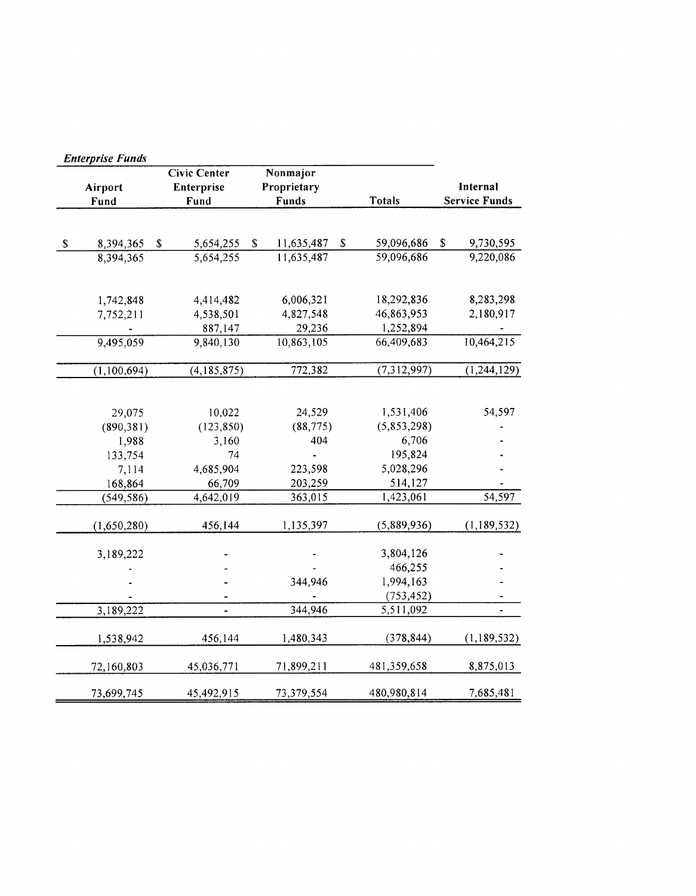|      | <b>Enterprise Funds</b> |                           |                     |             |             |                           |               |          |                      |
|------|-------------------------|---------------------------|---------------------|-------------|-------------|---------------------------|---------------|----------|----------------------|
|      |                         |                           | <b>Civic Center</b> |             | Nonmajor    |                           |               |          |                      |
|      | Airport                 |                           | Enterprise          |             | Proprietary |                           |               | Internal |                      |
|      | Fund                    |                           | Fund                |             | Funds       |                           | <b>Totals</b> |          | <b>Service Funds</b> |
|      |                         |                           |                     |             |             |                           |               |          |                      |
| $\$$ | 8,394,365               | $\boldsymbol{\mathsf{s}}$ | 5,654,255           | $\mathbb S$ | 11,635,487  | $\boldsymbol{\mathsf{S}}$ | 59,096,686    | \$       | 9,730,595            |
|      | 8,394,365               |                           | 5,654,255           |             | 11,635,487  |                           | 59,096,686    |          | 9,220,086            |
|      |                         |                           |                     |             |             |                           |               |          |                      |
|      | 1,742,848               |                           | 4,414,482           |             | 6,006,321   |                           | 18,292,836    |          | 8,283,298            |
|      | 7,752,211               |                           | 4,538,501           |             | 4,827,548   |                           | 46,863,953    |          | 2,180,917            |
|      |                         |                           | 887,147             |             | 29,236      |                           | 1,252,894     |          |                      |
|      | 9,495,059               |                           | 9,840,130           |             | 10,863,105  |                           | 66,409,683    |          | 10,464,215           |
|      | (1,100,694)             |                           | (4,185,875)         |             | 772,382     |                           | (7,312,997)   |          | (1, 244, 129)        |
|      |                         |                           |                     |             |             |                           |               |          |                      |
|      | 29,075                  |                           | 10,022              |             | 24,529      |                           | 1,531,406     |          | 54,597               |
|      | (890, 381)              |                           | (123, 850)          |             | (88, 775)   |                           | (5,853,298)   |          |                      |
|      | 1,988                   |                           | 3,160               |             | 404         |                           | 6,706         |          |                      |
|      | 133,754                 |                           | 74                  |             |             |                           | 195,824       |          |                      |
|      | 7,114                   |                           | 4,685,904           |             | 223,598     |                           | 5,028,296     |          |                      |
|      | 168,864                 |                           | 66,709              |             | 203,259     |                           | 514,127       |          |                      |
|      | (549, 586)              |                           | 4,642,019           |             | 363,015     |                           | 1,423,061     |          | 54,597               |
|      | (1,650,280)             |                           | 456,144             |             | 1,135,397   |                           | (5,889,936)   |          | (1,189,532)          |
|      | 3,189,222               |                           |                     |             |             |                           | 3,804,126     |          |                      |
|      |                         |                           |                     |             |             |                           | 466,255       |          |                      |
|      |                         |                           |                     |             | 344,946     |                           | 1,994,163     |          |                      |
|      |                         |                           |                     |             |             |                           | (753, 452)    |          |                      |
|      | 3,189,222               |                           | L.                  |             | 344,946     |                           | 5,511,092     |          |                      |
|      | 1,538,942               |                           | 456,144             |             | 1,480,343   |                           | (378, 844)    |          | (1,189,532)          |
|      | 72,160,803              |                           | 45,036,771          |             | 71,899,211  |                           | 481,359,658   |          | 8,875,013            |
|      | 73,699,745              |                           | 45,492,915          |             | 73,379,554  |                           | 480,980,814   |          | 7,685,481            |